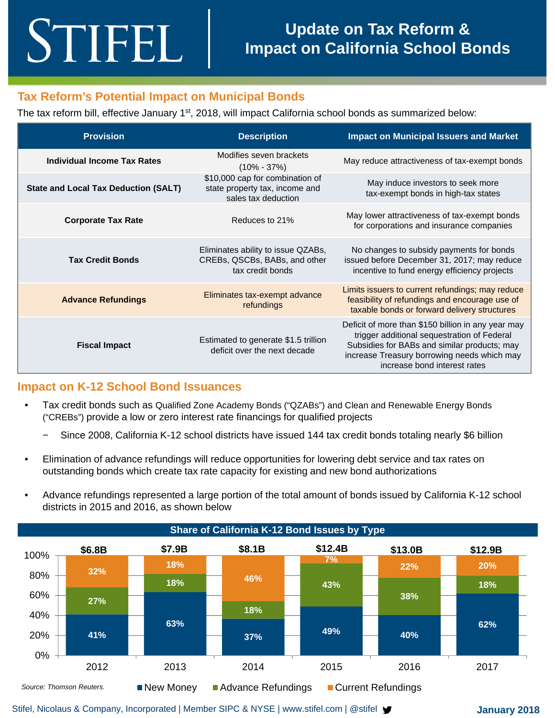## STIFEL

## **Tax Reform's Potential Impact on Municipal Bonds**

The tax reform bill, effective January 1<sup>st</sup>, 2018, will impact California school bonds as summarized below:

| <b>Provision</b>                            | <b>Description</b>                                                                       | <b>Impact on Municipal Issuers and Market</b>                                                                                                                                                                                    |
|---------------------------------------------|------------------------------------------------------------------------------------------|----------------------------------------------------------------------------------------------------------------------------------------------------------------------------------------------------------------------------------|
| <b>Individual Income Tax Rates</b>          | Modifies seven brackets<br>$(10\% - 37\%)$                                               | May reduce attractiveness of tax-exempt bonds                                                                                                                                                                                    |
| <b>State and Local Tax Deduction (SALT)</b> | \$10,000 cap for combination of<br>state property tax, income and<br>sales tax deduction | May induce investors to seek more<br>tax-exempt bonds in high-tax states                                                                                                                                                         |
| <b>Corporate Tax Rate</b>                   | Reduces to 21%                                                                           | May lower attractiveness of tax-exempt bonds<br>for corporations and insurance companies                                                                                                                                         |
| <b>Tax Credit Bonds</b>                     | Eliminates ability to issue QZABs,<br>CREBs, QSCBs, BABs, and other<br>tax credit bonds  | No changes to subsidy payments for bonds<br>issued before December 31, 2017; may reduce<br>incentive to fund energy efficiency projects                                                                                          |
| <b>Advance Refundings</b>                   | Eliminates tax-exempt advance<br>refundings                                              | Limits issuers to current refundings; may reduce<br>feasibility of refundings and encourage use of<br>taxable bonds or forward delivery structures                                                                               |
| <b>Fiscal Impact</b>                        | Estimated to generate \$1.5 trillion<br>deficit over the next decade                     | Deficit of more than \$150 billion in any year may<br>trigger additional sequestration of Federal<br>Subsidies for BABs and similar products; may<br>increase Treasury borrowing needs which may<br>increase bond interest rates |

### **Impact on K-12 School Bond Issuances**

- Tax credit bonds such as Qualified Zone Academy Bonds ("QZABs") and Clean and Renewable Energy Bonds ("CREBs") provide a low or zero interest rate financings for qualified projects
	- − Since 2008, California K-12 school districts have issued 144 tax credit bonds totaling nearly \$6 billion
- Elimination of advance refundings will reduce opportunities for lowering debt service and tax rates on outstanding bonds which create tax rate capacity for existing and new bond authorizations
- Advance refundings represented a large portion of the total amount of bonds issued by California K-12 school districts in 2015 and 2016, as shown below



Stifel, Nicolaus & Company, Incorporated | Member SIPC & NYSE | www.stifel.com | @stifel **y** and any 2018